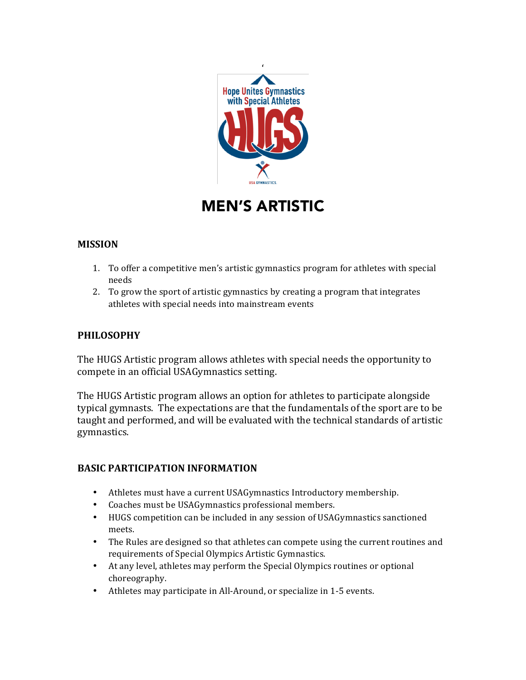

# MEN'S ARTISTIC

## **MISSION**

- 1. To offer a competitive men's artistic gymnastics program for athletes with special needs
- 2. To grow the sport of artistic gymnastics by creating a program that integrates athletes with special needs into mainstream events

### **PHILOSOPHY**

The HUGS Artistic program allows athletes with special needs the opportunity to compete in an official USAGymnastics setting.

The HUGS Artistic program allows an option for athletes to participate alongside typical gymnasts. The expectations are that the fundamentals of the sport are to be taught and performed, and will be evaluated with the technical standards of artistic gymnastics.

#### **BASIC PARTICIPATION INFORMATION**

- Athletes must have a current USAGymnastics Introductory membership.
- Coaches must be USAGymnastics professional members.
- HUGS competition can be included in any session of USAGymnastics sanctioned meets.
- The Rules are designed so that athletes can compete using the current routines and requirements of Special Olympics Artistic Gymnastics.
- At any level, athletes may perform the Special Olympics routines or optional choreography.
- Athletes may participate in All-Around, or specialize in 1-5 events.